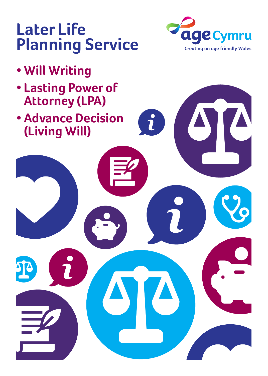### **Later Life Planning Service**



- **• Lasting Power of Attorney (LPA)**
- **• Advance Decision (Living Will)**



 $\hat{\mathbf{r}}$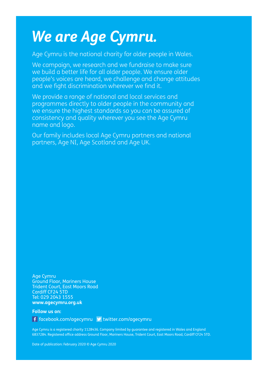### *We are Age Cymru.*

Age Cymru is the national charity for older people in Wales.

We campaign, we research and we fundraise to make sure we build a better life for all older people. We ensure older people's voices are heard, we challenge and change attitudes and we fight discrimination wherever we find it.

We provide a range of national and local services and programmes directly to older people in the community and we ensure the highest standards so you can be assured of consistency and quality wherever you see the Age Cymru name and logo.

Our family includes local Age Cymru partners and national partners, Age NI, Age Scotland and Age UK.

Age Cymru Ground Floor, Mariners House Trident Court, East Moors Road Cardiff CF24 5TD Tel: 029 2043 1555 **www.agecymru.org.uk**

**Follow us on:** 

**f** facebook.com/agecymru **v** twitter.com/agecymru

Age Cymru is a registered charity 1128436. Company limited by guarantee and registered in Wales and England 6837284. Registered office address Ground Floor, Mariners House, Trident Court, East Moors Road, Cardiff CF24 5TD.

Date of publication: February 2020 © Age Cymru 2020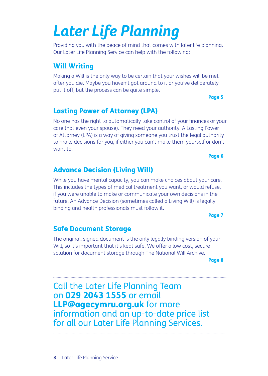# *Later Life Planning*

Providing you with the peace of mind that comes with later life planning. Our Later Life Planning Service can help with the following:

#### Will Writing

Making a Will is the only way to be certain that your wishes will be met after you die. Maybe you haven't got around to it or you've deliberately put it off, but the process can be quite simple.

Page 5

Page 6

#### Lasting Power of Attorney (LPA)

No one has the right to automatically take control of your finances or your care (not even your spouse). They need your authority. A Lasting Power of Attorney (LPA) is a way of giving someone you trust the legal authority to make decisions for you, if either you can't make them yourself or don't want to.

#### Advance Decision (Living Will)

While you have mental capacity, you can make choices about your care. This includes the types of medical treatment you want, or would refuse, if you were unable to make or communicate your own decisions in the future. An Advance Decision (sometimes called a Living Will) is legally binding and health professionals must follow it.

Page 7

#### Safe Document Storage

The original, signed document is the only legally binding version of your Will, so it's important that it's kept safe. We offer a low cost, secure solution for document storage through The National Will Archive.

Page 8

Call the Later Life Planning Team on 029 2043 1555 or email LLP@agecymru.org.uk for more information and an up-to-date price list for all our Later Life Planning Services.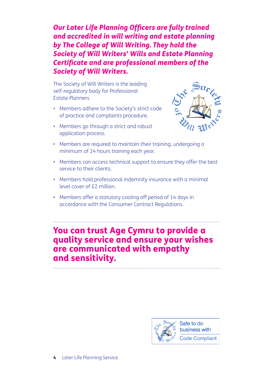*Our Later Life Planning Officers are fully trained and accredited in will writing and estate planning by The College of Will Writing. They hold the Society of Will Writers' Wills and Estate Planning Certificate and are professional members of the Society of Will Writers.*

The Society of Will Writers is the leading self-regulatory body for Professional Estate Planners

- Members adhere to the Society's strict code of practice and complaints procedure.
- Members go through a strict and robust application process.



- Members are required to maintain their training, undergoing a minimum of 24 hours training each year.
- Members can access technical support to ensure they offer the best service to their clients.
- Members hold professional indemnity insurance with a minimal level cover of £2 million.
- Members offer a statutory cooling off period of 14 days in accordance with the Consumer Contract Regulations.

#### You can trust Age Cymru to provide a quality service and ensure your wishes are communicated with empathy and sensitivity.

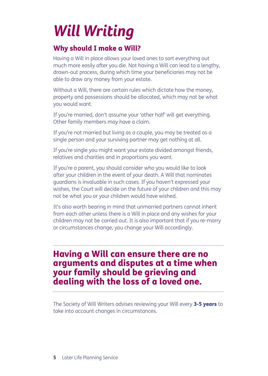# *Will Writing*

#### Why should I make a Will?

Having a Will in place allows your loved ones to sort everything out much more easily after you die. Not having a Will can lead to a lengthy, drawn-out process, during which time your beneficiaries may not be able to draw any money from your estate.

Without a Will, there are certain rules which dictate how the money, property and possessions should be allocated, which may not be what you would want.

If you're married, don't assume your 'other half' will get everything. Other family members may have a claim.

If you're not married but living as a couple, you may be treated as a single person and your surviving partner may get nothing at all.

If you're single you might want your estate divided amongst friends, relatives and charities and in proportions you want.

If you're a parent, you should consider who you would like to look after your children in the event of your death. A Will that nominates guardians is invaluable in such cases. If you haven't expressed your wishes, the Court will decide on the future of your children and this may not be what you or your children would have wished.

It's also worth bearing in mind that unmarried partners cannot inherit from each other unless there is a Will in place and any wishes for your children may not be carried out. It is also important that if you re-marry or circumstances change, you change your Will accordingly.

### Having a Will can ensure there are no arguments and disputes at a time when your family should be grieving and dealing with the loss of a loved one.

The Society of Will Writers advises reviewing your Will every 3-5 years to take into account changes in circumstances.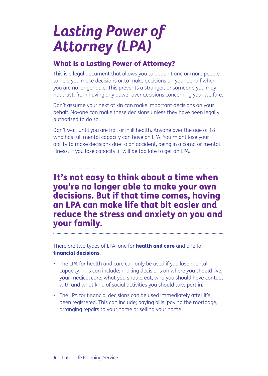## *Lasting Power of Attorney (LPA)*

#### What is a Lasting Power of Attorney?

This is a legal document that allows you to appoint one or more people to help you make decisions or to make decisions on your behalf when you are no longer able. This prevents a stranger, or someone you may not trust, from having any power over decisions concerning your welfare.

Don't assume your next of kin can make important decisions on your behalf. No-one can make these decisions unless they have been legally authorised to do so.

Don't wait until you are frail or in ill health. Anyone over the age of 18 who has full mental capacity can have an LPA. You might lose your ability to make decisions due to an accident, being in a coma or mental illness. If you lose capacity, it will be too late to get an LPA.

It's not easy to think about a time when you're no longer able to make your own decisions. But if that time comes, having an LPA can make life that bit easier and reduce the stress and anxiety on you and your family.

There are two types of LPA: one for **health and care** and one for financial decisions.

- The LPA for health and care can only be used if you lose mental capacity. This can include; making decisions on where you should live, your medical care, what you should eat, who you should have contact with and what kind of social activities you should take part in.
- The LPA for financial decisions can be used immediately after it's been registered. This can include; paying bills, paying the mortgage, arranging repairs to your home or selling your home.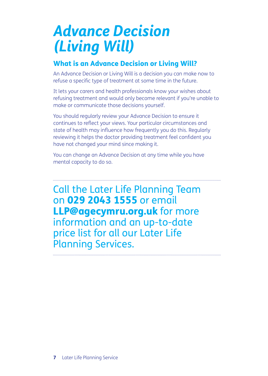### *Advance Decision (Living Will)*

#### What is an Advance Decision or Living Will?

An Advance Decision or Living Will is a decision you can make now to refuse a specific type of treatment at some time in the future.

It lets your carers and health professionals know your wishes about refusing treatment and would only become relevant if you're unable to make or communicate those decisions yourself.

You should regularly review your Advance Decision to ensure it continues to reflect your views. Your particular circumstances and state of health may influence how frequently you do this. Regularly reviewing it helps the doctor providing treatment feel confident you have not changed your mind since making it.

You can change an Advance Decision at any time while you have mental capacity to do so.

Call the Later Life Planning Team on 029 2043 1555 or email LLP@agecymru.org.uk for more information and an up-to-date price list for all our Later Life Planning Services.